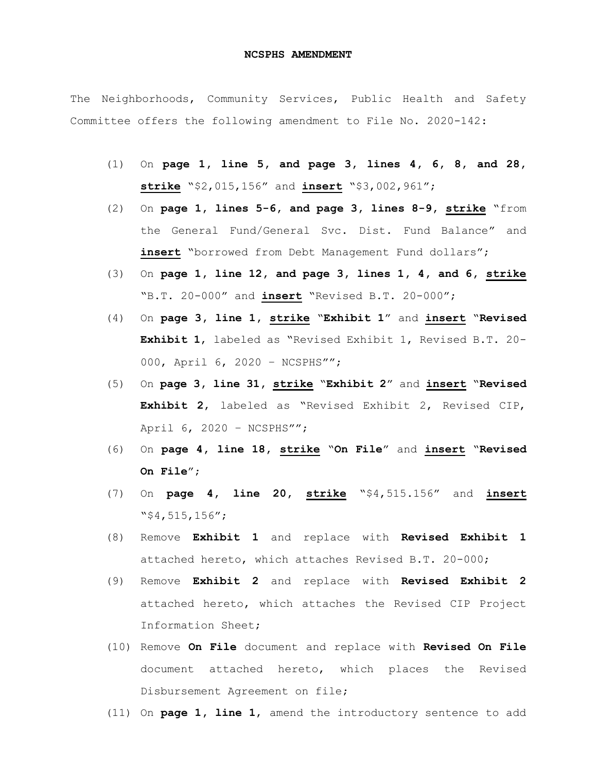## **NCSPHS AMENDMENT**

The Neighborhoods, Community Services, Public Health and Safety Committee offers the following amendment to File No. 2020-142:

- (1) On **page 1, line 5, and page 3, lines 4, 6, 8, and 28, strike** "\$2,015,156" and **insert** "\$3,002,961";
- (2) On **page 1, lines 5-6, and page 3, lines 8-9, strike** "from the General Fund/General Svc. Dist. Fund Balance" and **insert** "borrowed from Debt Management Fund dollars";
- (3) On **page 1, line 12, and page 3, lines 1, 4, and 6, strike** "B.T. 20-000" and **insert** "Revised B.T. 20-000";
- (4) On **page 3, line 1, strike** "**Exhibit 1**" and **insert** "**Revised Exhibit 1**, labeled as "Revised Exhibit 1, Revised B.T. 20- 000, April 6, 2020 - NCSPHS"";
- (5) On **page 3, line 31, strike** "**Exhibit 2**" and **insert** "**Revised Exhibit 2**, labeled as "Revised Exhibit 2, Revised CIP, April 6, 2020 – NCSPHS"";
- (6) On **page 4, line 18, strike** "**On File**" and **insert** "**Revised On File**";
- (7) On **page 4, line 20, strike** "\$4,515.156" and **insert** "\$4,515,156";
- (8) Remove **Exhibit 1** and replace with **Revised Exhibit 1** attached hereto, which attaches Revised B.T. 20-000;
- (9) Remove **Exhibit 2** and replace with **Revised Exhibit 2** attached hereto, which attaches the Revised CIP Project Information Sheet;
- (10) Remove **On File** document and replace with **Revised On File** document attached hereto, which places the Revised Disbursement Agreement on file;
- (11) On **page 1, line 1**, amend the introductory sentence to add